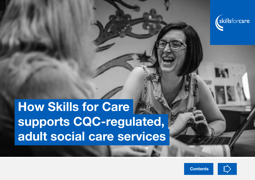

# How Skills for Care supports CQC-regulated, adult social care services



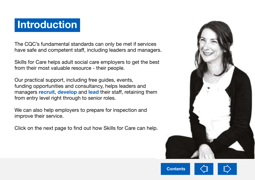# **Introduction**

The CQC's fundamental standards can only be met if services have safe and competent staff, including leaders and managers.

Skills for Care helps adult social care employers to get the best from their most valuable resource - their people.

Our practical support, including free guides, events, funding opportunities and consultancy, helps leaders and managers **[recruit](https://www.skillsforcare.org.uk/Recruitment-retention/Recruitment-and-retention.aspx), [develop](https://www.skillsforcare.org.uk/Learning-development/Learning-and-development.aspx)** and **[lead](https://www.skillsforcare.org.uk/Leadership-management/Leadership-and-management.aspx)** their staff, retaining them from entry level right through to senior roles.

We can also help employers to prepare for inspection and improve their service.

Click on the next page to find out how Skills for Care can help.

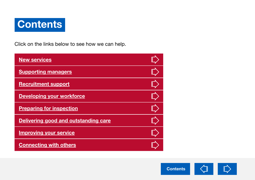<span id="page-2-0"></span>

Click on the links below to see how we can help.

| <b>New services</b>                  |  |
|--------------------------------------|--|
| <b>Supporting managers</b>           |  |
| <b>Recruitment support</b>           |  |
| <b>Developing your workforce</b>     |  |
| <b>Preparing for inspection</b>      |  |
| Delivering good and outstanding care |  |
| <b>Improving your service</b>        |  |
| <b>Connecting with others</b>        |  |

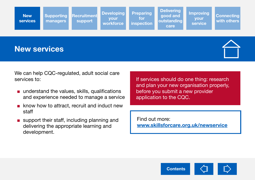<span id="page-3-0"></span>

#### New services



We can help CQC-regulated, adult social care services to:

- understand the values, skills, qualifications and experience needed to manage a service
- know how to attract, recruit and induct new staff
- support their staff, including planning and delivering the appropriate learning and development.

If services should do one thing: research and plan your new organisation properly, before you submit a new provider application to the CQC.

Find out more: [www.skillsforcare.org.uk/newservice](http://www.skillsforcare.org.uk/newservice)

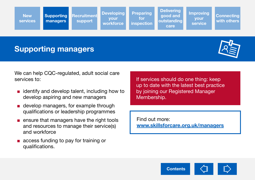<span id="page-4-0"></span>**New** [services](#page-3-0) **Supporting** managers **[Recruitment](#page-5-0)** support **Developing** your workforce Preparing for [inspection](#page-7-0) **Delivering** good and [outstanding](#page-8-0)  care [Improving](#page-9-0)  your service **Connecting** with others

## Supporting managers



We can help CQC-regulated, adult social care services to:

- $\blacksquare$  identify and develop talent, including how to develop aspiring and new managers
- develop managers, for example through qualifications or leadership programmes
- ensure that managers have the right tools and resources to manage their service(s) and workforce
- access funding to pay for training or qualifications.

If services should do one thing: keep up to date with the latest best practice by joining our Registered Manager Membership.

Find out more: [www.skillsforcare.org.uk/managers](http://www.skillsforcare.org.uk/managers)

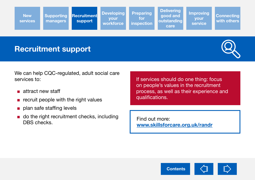<span id="page-5-0"></span>

#### Recruitment support



We can help CQC-regulated, adult social care services to:

- attract new staff
- recruit people with the right values
- plan safe staffing levels
- do the right recruitment checks, including DBS checks.

If services should do one thing: focus on people's values in the recruitment process, as well as their experience and qualifications.

Find out more: [www.skillsforcare.org.uk/randr](https://www.skillsforcare.org.uk/randr)

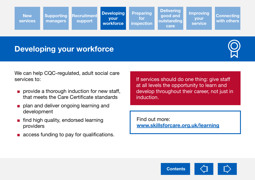<span id="page-6-0"></span>**New** [services](#page-3-0) [Supporting](#page-4-0)  managers [Recruitment](#page-5-0) support Developing your workforce Preparing for [inspection](#page-7-0) **Delivering** good and [outstanding](#page-8-0)  care [Improving](#page-9-0)  your service **Connecting** with others

# Developing your workforce



We can help CQC-regulated, adult social care services to:

- provide a thorough induction for new staff, that meets the Care Certificate standards
- plan and deliver ongoing learning and development
- find high quality, endorsed learning providers
- access funding to pay for qualifications.

If services should do one thing: give staff at all levels the opportunity to learn and develop throughout their career, not just in induction.

Find out more: [www.skillsforcare.org.uk/learning](http://www.skillsforcare.org.uk/learning)

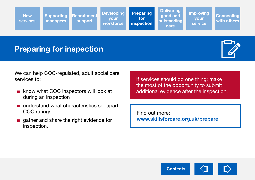<span id="page-7-0"></span>**New** [services](#page-3-0) [Supporting](#page-4-0)  managers [Recruitment](#page-5-0)  support **Developing** your workforce **Preparing** for inspection **Delivering** good and [outstanding](#page-8-0)  care [Improving](#page-9-0)  your service **Connecting** with others

# Preparing for inspection



We can help CQC-regulated, adult social care services to:

- know what CQC inspectors will look at during an inspection
- understand what characteristics set apart CQC ratings
- gather and share the right evidence for inspection.

If services should do one thing: make the most of the opportunity to submit additional evidence after the inspection.

Find out more: [www.skillsforcare.org.uk/prepare](http://www.skillsforcare.org.uk/prepare )

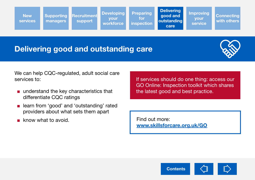<span id="page-8-0"></span>

## Delivering good and outstanding care



We can help CQC-regulated, adult social care services to:

- understand the key characteristics that differentiate CQC ratings
- learn from 'good' and 'outstanding' rated providers about what sets them apart
- know what to avoid.

If services should do one thing: access our GO Online: Inspection toolkit which shares the latest good and best practice.

Find out more: [www.skillsforcare.org.uk/GO](http://www.skillsforcare.org.uk/GO)

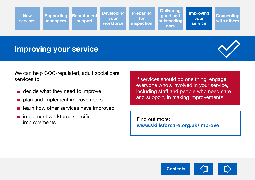<span id="page-9-0"></span>

#### Improving your service



We can help CQC-regulated, adult social care services to:

- decide what they need to improve
- plan and implement improvements
- learn how other services have improved
- implement workforce specific improvements.

If services should do one thing: engage everyone who's involved in your service, including staff and people who need care and support, in making improvements.

Find out more: [www.skillsforcare.org.uk/improve](http://www.skillsforcare.org.uk/improve)

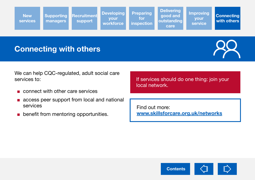<span id="page-10-0"></span>

#### Connecting with others



We can help CQC-regulated, adult social care services to:

- connect with other care services
- access peer support from local and national services
- benefit from mentoring opportunities.

If services should do one thing: join your local network.

Find out more: [www.skillsforcare.org.uk/networks](http://www.skillsforcare.org.uk/networks)